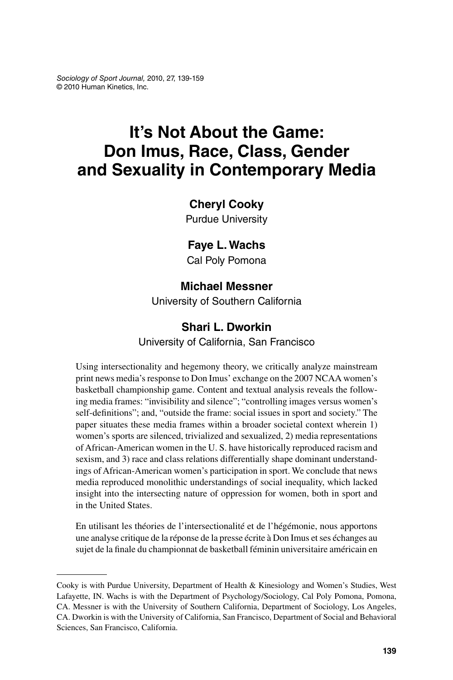*Sociology of Sport Journal,* 2010, 27, 139-159 © 2010 Human Kinetics, Inc.

# **It's Not About the Game: Don Imus, Race, Class, Gender and Sexuality in Contemporary Media**

### **Cheryl Cooky**

Purdue University

### **Faye L. Wachs**

Cal Poly Pomona

### **Michael Messner**

University of Southern California

### **Shari L. Dworkin**

University of California, San Francisco

Using intersectionality and hegemony theory, we critically analyze mainstream print news media's response to Don Imus' exchange on the 2007 NCAA women's basketball championship game. Content and textual analysis reveals the following media frames: "invisibility and silence"; "controlling images versus women's self-definitions"; and, "outside the frame: social issues in sport and society." The paper situates these media frames within a broader societal context wherein 1) women's sports are silenced, trivialized and sexualized, 2) media representations of African-American women in the U. S. have historically reproduced racism and sexism, and 3) race and class relations differentially shape dominant understandings of African-American women's participation in sport. We conclude that news media reproduced monolithic understandings of social inequality, which lacked insight into the intersecting nature of oppression for women, both in sport and in the United States.

En utilisant les théories de l'intersectionalité et de l'hégémonie, nous apportons une analyse critique de la réponse de la presse écrite à Don Imus et ses échanges au sujet de la finale du championnat de basketball féminin universitaire américain en

Cooky is with Purdue University, Department of Health & Kinesiology and Women's Studies, West Lafayette, IN. Wachs is with the Department of Psychology/Sociology, Cal Poly Pomona, Pomona, CA. Messner is with the University of Southern California, Department of Sociology, Los Angeles, CA. Dworkin is with the University of California, San Francisco, Department of Social and Behavioral Sciences, San Francisco, California.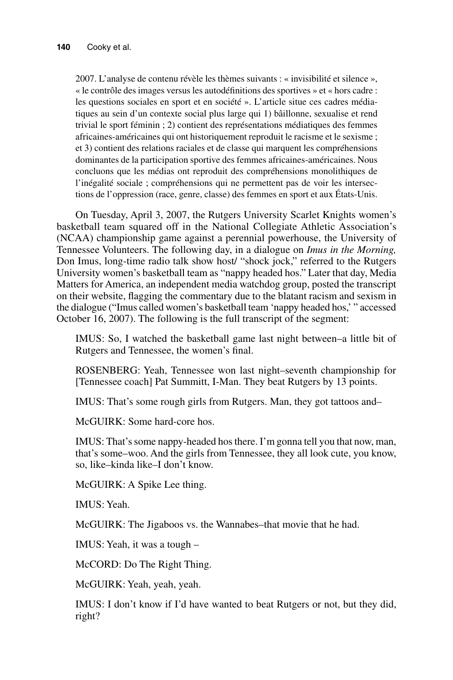2007. L'analyse de contenu révèle les thèmes suivants : « invisibilité et silence », « le contrôle des images versus les autodéfinitions des sportives » et « hors cadre : les questions sociales en sport et en société ». L'article situe ces cadres médiatiques au sein d'un contexte social plus large qui 1) bâillonne, sexualise et rend trivial le sport féminin ; 2) contient des représentations médiatiques des femmes africaines-américaines qui ont historiquement reproduit le racisme et le sexisme ; et 3) contient des relations raciales et de classe qui marquent les compréhensions dominantes de la participation sportive des femmes africaines-américaines. Nous concluons que les médias ont reproduit des compréhensions monolithiques de l'inégalité sociale ; compréhensions qui ne permettent pas de voir les intersections de l'oppression (race, genre, classe) des femmes en sport et aux États-Unis.

On Tuesday, April 3, 2007, the Rutgers University Scarlet Knights women's basketball team squared off in the National Collegiate Athletic Association's (NCAA) championship game against a perennial powerhouse, the University of Tennessee Volunteers. The following day, in a dialogue on *Imus in the Morning,* Don Imus, long-time radio talk show host/ "shock jock," referred to the Rutgers University women's basketball team as "nappy headed hos." Later that day, Media Matters for America, an independent media watchdog group, posted the transcript on their website, flagging the commentary due to the blatant racism and sexism in the dialogue ("Imus called women's basketball team 'nappy headed hos,' " accessed October 16, 2007). The following is the full transcript of the segment:

IMUS: So, I watched the basketball game last night between–a little bit of Rutgers and Tennessee, the women's final.

ROSENBERG: Yeah, Tennessee won last night–seventh championship for [Tennessee coach] Pat Summitt, I-Man. They beat Rutgers by 13 points.

IMUS: That's some rough girls from Rutgers. Man, they got tattoos and–

McGUIRK: Some hard-core hos.

IMUS: That's some nappy-headed hos there. I'm gonna tell you that now, man, that's some–woo. And the girls from Tennessee, they all look cute, you know, so, like–kinda like–I don't know.

McGUIRK: A Spike Lee thing.

IMUS: Yeah.

McGUIRK: The Jigaboos vs. the Wannabes–that movie that he had.

IMUS: Yeah, it was a tough –

McCORD: Do The Right Thing.

McGUIRK: Yeah, yeah, yeah.

IMUS: I don't know if I'd have wanted to beat Rutgers or not, but they did, right?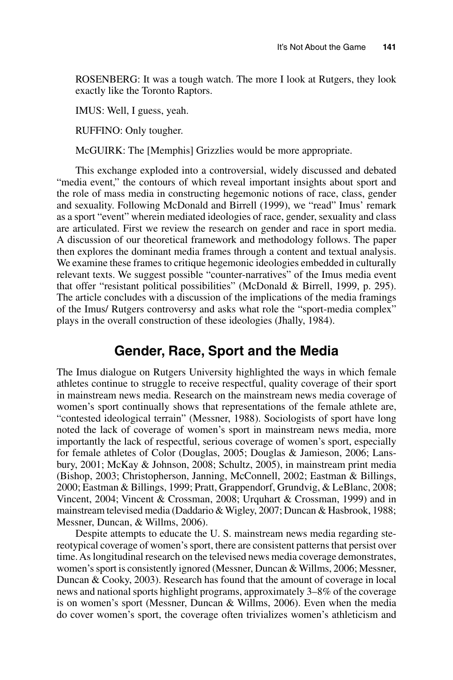ROSENBERG: It was a tough watch. The more I look at Rutgers, they look exactly like the Toronto Raptors.

IMUS: Well, I guess, yeah.

RUFFINO: Only tougher.

McGUIRK: The [Memphis] Grizzlies would be more appropriate.

This exchange exploded into a controversial, widely discussed and debated "media event," the contours of which reveal important insights about sport and the role of mass media in constructing hegemonic notions of race, class, gender and sexuality. Following McDonald and Birrell (1999), we "read" Imus' remark as a sport "event" wherein mediated ideologies of race, gender, sexuality and class are articulated. First we review the research on gender and race in sport media. A discussion of our theoretical framework and methodology follows. The paper then explores the dominant media frames through a content and textual analysis. We examine these frames to critique hegemonic ideologies embedded in culturally relevant texts. We suggest possible "counter-narratives" of the Imus media event that offer "resistant political possibilities" (McDonald & Birrell, 1999, p. 295). The article concludes with a discussion of the implications of the media framings of the Imus/ Rutgers controversy and asks what role the "sport-media complex" plays in the overall construction of these ideologies (Jhally, 1984).

## **Gender, Race, Sport and the Media**

The Imus dialogue on Rutgers University highlighted the ways in which female athletes continue to struggle to receive respectful, quality coverage of their sport in mainstream news media. Research on the mainstream news media coverage of women's sport continually shows that representations of the female athlete are, "contested ideological terrain" (Messner, 1988). Sociologists of sport have long noted the lack of coverage of women's sport in mainstream news media, more importantly the lack of respectful, serious coverage of women's sport, especially for female athletes of Color (Douglas, 2005; Douglas & Jamieson, 2006; Lansbury, 2001; McKay & Johnson, 2008; Schultz, 2005), in mainstream print media (Bishop, 2003; Christopherson, Janning, McConnell, 2002; Eastman & Billings, 2000; Eastman & Billings, 1999; Pratt, Grappendorf, Grundvig, & LeBlanc, 2008; Vincent, 2004; Vincent & Crossman, 2008; Urquhart & Crossman, 1999) and in mainstream televised media (Daddario & Wigley, 2007; Duncan & Hasbrook, 1988; Messner, Duncan, & Willms, 2006).

Despite attempts to educate the U. S. mainstream news media regarding stereotypical coverage of women's sport, there are consistent patterns that persist over time. As longitudinal research on the televised news media coverage demonstrates, women's sport is consistently ignored (Messner, Duncan & Willms, 2006; Messner, Duncan & Cooky, 2003). Research has found that the amount of coverage in local news and national sports highlight programs, approximately 3–8% of the coverage is on women's sport (Messner, Duncan & Willms, 2006). Even when the media do cover women's sport, the coverage often trivializes women's athleticism and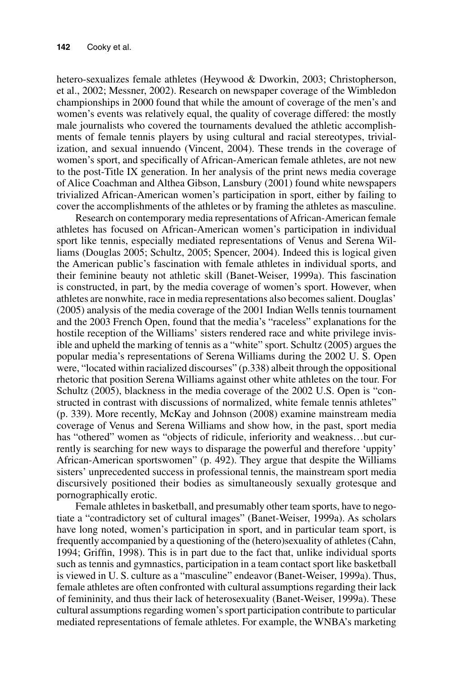hetero-sexualizes female athletes (Heywood & Dworkin, 2003; Christopherson, et al., 2002; Messner, 2002). Research on newspaper coverage of the Wimbledon championships in 2000 found that while the amount of coverage of the men's and women's events was relatively equal, the quality of coverage differed: the mostly male journalists who covered the tournaments devalued the athletic accomplishments of female tennis players by using cultural and racial stereotypes, trivialization, and sexual innuendo (Vincent, 2004). These trends in the coverage of women's sport, and specifically of African-American female athletes, are not new to the post-Title IX generation. In her analysis of the print news media coverage of Alice Coachman and Althea Gibson, Lansbury (2001) found white newspapers trivialized African-American women's participation in sport, either by failing to cover the accomplishments of the athletes or by framing the athletes as masculine.

Research on contemporary media representations of African-American female athletes has focused on African-American women's participation in individual sport like tennis, especially mediated representations of Venus and Serena Williams (Douglas 2005; Schultz, 2005; Spencer, 2004). Indeed this is logical given the American public's fascination with female athletes in individual sports, and their feminine beauty not athletic skill (Banet-Weiser, 1999a). This fascination is constructed, in part, by the media coverage of women's sport. However, when athletes are nonwhite, race in media representations also becomes salient. Douglas' (2005) analysis of the media coverage of the 2001 Indian Wells tennis tournament and the 2003 French Open, found that the media's "raceless" explanations for the hostile reception of the Williams' sisters rendered race and white privilege invisible and upheld the marking of tennis as a "white" sport. Schultz (2005) argues the popular media's representations of Serena Williams during the 2002 U. S. Open were, "located within racialized discourses" (p.338) albeit through the oppositional rhetoric that position Serena Williams against other white athletes on the tour. For Schultz (2005), blackness in the media coverage of the 2002 U.S. Open is "constructed in contrast with discussions of normalized, white female tennis athletes" (p. 339). More recently, McKay and Johnson (2008) examine mainstream media coverage of Venus and Serena Williams and show how, in the past, sport media has "othered" women as "objects of ridicule, inferiority and weakness…but currently is searching for new ways to disparage the powerful and therefore 'uppity' African-American sportswomen" (p. 492). They argue that despite the Williams sisters' unprecedented success in professional tennis, the mainstream sport media discursively positioned their bodies as simultaneously sexually grotesque and pornographically erotic.

Female athletes in basketball, and presumably other team sports, have to negotiate a "contradictory set of cultural images" (Banet-Weiser, 1999a). As scholars have long noted, women's participation in sport, and in particular team sport, is frequently accompanied by a questioning of the (hetero)sexuality of athletes (Cahn, 1994; Griffin, 1998). This is in part due to the fact that, unlike individual sports such as tennis and gymnastics, participation in a team contact sport like basketball is viewed in U. S. culture as a "masculine" endeavor (Banet-Weiser, 1999a). Thus, female athletes are often confronted with cultural assumptions regarding their lack of femininity, and thus their lack of heterosexuality (Banet-Weiser, 1999a). These cultural assumptions regarding women's sport participation contribute to particular mediated representations of female athletes. For example, the WNBA's marketing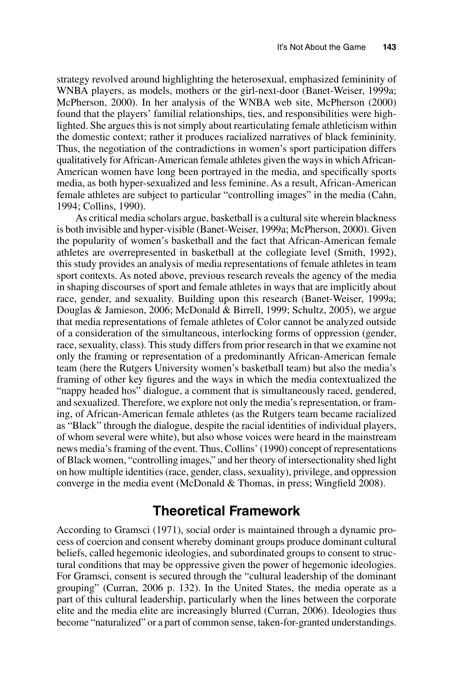strategy revolved around highlighting the heterosexual, emphasized femininity of WNBA players, as models, mothers or the girl-next-door (Banet-Weiser, 1999a; McPherson, 2000). In her analysis of the WNBA web site, McPherson (2000) found that the players' familial relationships, ties, and responsibilities were highlighted. She argues this is not simply about rearticulating female athleticism within the domestic context; rather it produces racialized narratives of black femininity. Thus, the negotiation of the contradictions in women's sport participation differs qualitatively for African-American female athletes given the ways in which African-American women have long been portrayed in the media, and specifically sports media, as both hyper-sexualized and less feminine. As a result, African-American female athletes are subject to particular "controlling images" in the media (Cahn, 1994; Collins, 1990).

As critical media scholars argue, basketball is a cultural site wherein blackness is both invisible and hyper-visible (Banet-Weiser, 1999a; McPherson, 2000). Given the popularity of women's basketball and the fact that African-American female athletes are overrepresented in basketball at the collegiate level (Smith, 1992), this study provides an analysis of media representations of female athletes in team sport contexts. As noted above, previous research reveals the agency of the media in shaping discourses of sport and female athletes in ways that are implicitly about race, gender, and sexuality. Building upon this research (Banet-Weiser, 1999a; Douglas & Jamieson, 2006; McDonald & Birrell, 1999; Schultz, 2005), we argue that media representations of female athletes of Color cannot be analyzed outside of a consideration of the simultaneous, interlocking forms of oppression (gender, race, sexuality, class). This study differs from prior research in that we examine not only the framing or representation of a predominantly African-American female team (here the Rutgers University women's basketball team) but also the media's framing of other key figures and the ways in which the media contextualized the "nappy headed hos" dialogue, a comment that is simultaneously raced, gendered, and sexualized. Therefore, we explore not only the media's representation, or framing, of African-American female athletes (as the Rutgers team became racialized as "Black" through the dialogue, despite the racial identities of individual players, of whom several were white), but also whose voices were heard in the mainstream news media's framing of the event. Thus, Collins' (1990) concept of representations of Black women, "controlling images," and her theory of intersectionality shed light on how multiple identities (race, gender, class, sexuality), privilege, and oppression converge in the media event (McDonald & Thomas, in press; Wingfield 2008).

## **Theoretical Framework**

According to Gramsci (1971), social order is maintained through a dynamic process of coercion and consent whereby dominant groups produce dominant cultural beliefs, called hegemonic ideologies, and subordinated groups to consent to structural conditions that may be oppressive given the power of hegemonic ideologies. For Gramsci, consent is secured through the "cultural leadership of the dominant grouping" (Curran, 2006 p. 132). In the United States, the media operate as a part of this cultural leadership, particularly when the lines between the corporate elite and the media elite are increasingly blurred (Curran, 2006). Ideologies thus become "naturalized" or a part of common sense, taken-for-granted understandings.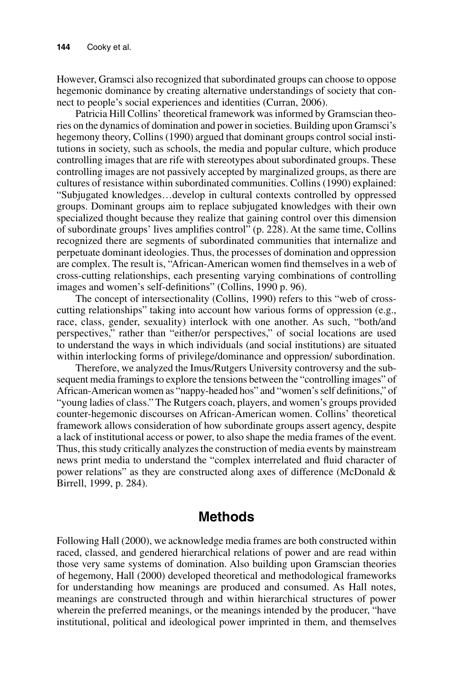However, Gramsci also recognized that subordinated groups can choose to oppose hegemonic dominance by creating alternative understandings of society that connect to people's social experiences and identities (Curran, 2006).

Patricia Hill Collins' theoretical framework was informed by Gramscian theories on the dynamics of domination and power in societies. Building upon Gramsci's hegemony theory, Collins (1990) argued that dominant groups control social institutions in society, such as schools, the media and popular culture, which produce controlling images that are rife with stereotypes about subordinated groups. These controlling images are not passively accepted by marginalized groups, as there are cultures of resistance within subordinated communities. Collins (1990) explained: "Subjugated knowledges…develop in cultural contexts controlled by oppressed groups. Dominant groups aim to replace subjugated knowledges with their own specialized thought because they realize that gaining control over this dimension of subordinate groups' lives amplifies control" (p. 228). At the same time, Collins recognized there are segments of subordinated communities that internalize and perpetuate dominant ideologies. Thus, the processes of domination and oppression are complex. The result is, "African-American women find themselves in a web of cross-cutting relationships, each presenting varying combinations of controlling images and women's self-definitions" (Collins, 1990 p. 96).

The concept of intersectionality (Collins, 1990) refers to this "web of crosscutting relationships" taking into account how various forms of oppression (e.g., race, class, gender, sexuality) interlock with one another. As such, "both/and perspectives," rather than "either/or perspectives," of social locations are used to understand the ways in which individuals (and social institutions) are situated within interlocking forms of privilege/dominance and oppression/ subordination.

Therefore, we analyzed the Imus/Rutgers University controversy and the subsequent media framings to explore the tensions between the "controlling images" of African-American women as "nappy-headed hos" and "women's self definitions," of "young ladies of class." The Rutgers coach, players, and women's groups provided counter-hegemonic discourses on African-American women. Collins' theoretical framework allows consideration of how subordinate groups assert agency, despite a lack of institutional access or power, to also shape the media frames of the event. Thus, this study critically analyzes the construction of media events by mainstream news print media to understand the "complex interrelated and fluid character of power relations" as they are constructed along axes of difference (McDonald & Birrell, 1999, p. 284).

### **Methods**

Following Hall (2000), we acknowledge media frames are both constructed within raced, classed, and gendered hierarchical relations of power and are read within those very same systems of domination. Also building upon Gramscian theories of hegemony, Hall (2000) developed theoretical and methodological frameworks for understanding how meanings are produced and consumed. As Hall notes, meanings are constructed through and within hierarchical structures of power wherein the preferred meanings, or the meanings intended by the producer, "have institutional, political and ideological power imprinted in them, and themselves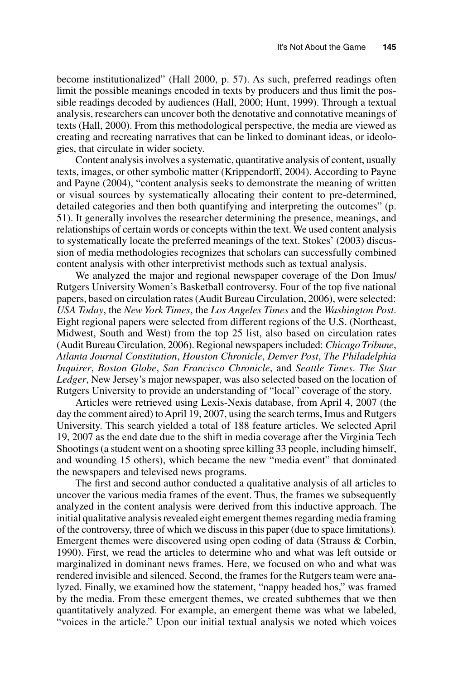become institutionalized" (Hall 2000, p. 57). As such, preferred readings often limit the possible meanings encoded in texts by producers and thus limit the possible readings decoded by audiences (Hall, 2000; Hunt, 1999). Through a textual analysis, researchers can uncover both the denotative and connotative meanings of texts (Hall, 2000). From this methodological perspective, the media are viewed as creating and recreating narratives that can be linked to dominant ideas, or ideologies, that circulate in wider society.

Content analysis involves a systematic, quantitative analysis of content, usually texts, images, or other symbolic matter (Krippendorff, 2004). According to Payne and Payne (2004), "content analysis seeks to demonstrate the meaning of written or visual sources by systematically allocating their content to pre-determined, detailed categories and then both quantifying and interpreting the outcomes" (p. 51). It generally involves the researcher determining the presence, meanings, and relationships of certain words or concepts within the text. We used content analysis to systematically locate the preferred meanings of the text. Stokes' (2003) discussion of media methodologies recognizes that scholars can successfully combined content analysis with other interpretivist methods such as textual analysis.

We analyzed the major and regional newspaper coverage of the Don Imus/ Rutgers University Women's Basketball controversy. Four of the top five national papers, based on circulation rates (Audit Bureau Circulation, 2006), were selected: *USA Today*, the *New York Times*, the *Los Angeles Times* and the *Washington Post*. Eight regional papers were selected from different regions of the U.S. (Northeast, Midwest, South and West) from the top 25 list, also based on circulation rates (Audit Bureau Circulation, 2006). Regional newspapers included: *Chicago Tribune*, *Atlanta Journal Constitution*, *Houston Chronicle*, *Denver Post*, *The Philadelphia Inquirer*, *Boston Globe*, *San Francisco Chronicle*, and *Seattle Times*. *The Star Ledger*, New Jersey's major newspaper, was also selected based on the location of Rutgers University to provide an understanding of "local" coverage of the story.

Articles were retrieved using Lexis-Nexis database, from April 4, 2007 (the day the comment aired) to April 19, 2007, using the search terms, Imus and Rutgers University. This search yielded a total of 188 feature articles. We selected April 19, 2007 as the end date due to the shift in media coverage after the Virginia Tech Shootings (a student went on a shooting spree killing 33 people, including himself, and wounding 15 others), which became the new "media event" that dominated the newspapers and televised news programs.

The first and second author conducted a qualitative analysis of all articles to uncover the various media frames of the event. Thus, the frames we subsequently analyzed in the content analysis were derived from this inductive approach. The initial qualitative analysis revealed eight emergent themes regarding media framing of the controversy, three of which we discuss in this paper (due to space limitations). Emergent themes were discovered using open coding of data (Strauss & Corbin, 1990). First, we read the articles to determine who and what was left outside or marginalized in dominant news frames. Here, we focused on who and what was rendered invisible and silenced. Second, the frames for the Rutgers team were analyzed. Finally, we examined how the statement, "nappy headed hos," was framed by the media. From these emergent themes, we created subthemes that we then quantitatively analyzed. For example, an emergent theme was what we labeled, "voices in the article." Upon our initial textual analysis we noted which voices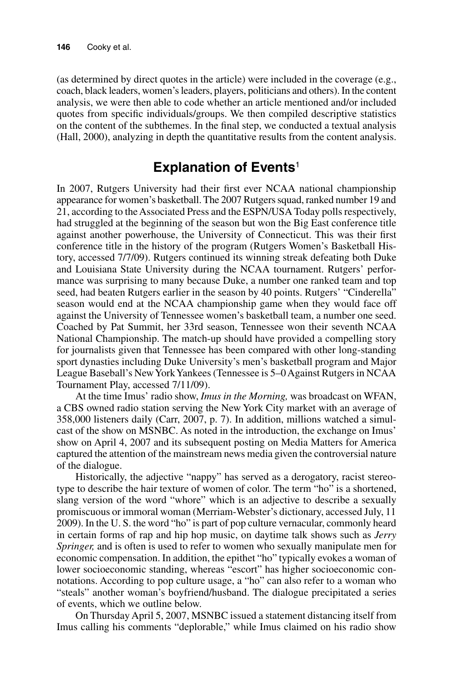(as determined by direct quotes in the article) were included in the coverage (e.g., coach, black leaders, women's leaders, players, politicians and others). In the content analysis, we were then able to code whether an article mentioned and/or included quotes from specific individuals/groups. We then compiled descriptive statistics on the content of the subthemes. In the final step, we conducted a textual analysis (Hall, 2000), analyzing in depth the quantitative results from the content analysis.

## **Explanation of Events<sup>1</sup>**

In 2007, Rutgers University had their first ever NCAA national championship appearance for women's basketball. The 2007 Rutgers squad, ranked number 19 and 21, according to the Associated Press and the ESPN/USA Today polls respectively, had struggled at the beginning of the season but won the Big East conference title against another powerhouse, the University of Connecticut. This was their first conference title in the history of the program (Rutgers Women's Basketball History, accessed 7/7/09). Rutgers continued its winning streak defeating both Duke and Louisiana State University during the NCAA tournament. Rutgers' performance was surprising to many because Duke, a number one ranked team and top seed, had beaten Rutgers earlier in the season by 40 points. Rutgers' "Cinderella" season would end at the NCAA championship game when they would face off against the University of Tennessee women's basketball team, a number one seed. Coached by Pat Summit, her 33rd season, Tennessee won their seventh NCAA National Championship. The match-up should have provided a compelling story for journalists given that Tennessee has been compared with other long-standing sport dynasties including Duke University's men's basketball program and Major League Baseball's New York Yankees (Tennessee is 5–0 Against Rutgers in NCAA Tournament Play, accessed 7/11/09).

At the time Imus' radio show, *Imus in the Morning,* was broadcast on WFAN, a CBS owned radio station serving the New York City market with an average of 358,000 listeners daily (Carr, 2007, p. 7). In addition, millions watched a simulcast of the show on MSNBC. As noted in the introduction, the exchange on Imus' show on April 4, 2007 and its subsequent posting on Media Matters for America captured the attention of the mainstream news media given the controversial nature of the dialogue.

Historically, the adjective "nappy" has served as a derogatory, racist stereotype to describe the hair texture of women of color. The term "ho" is a shortened, slang version of the word "whore" which is an adjective to describe a sexually promiscuous or immoral woman (Merriam-Webster's dictionary, accessed July, 11 2009). In the U. S. the word "ho" is part of pop culture vernacular, commonly heard in certain forms of rap and hip hop music, on daytime talk shows such as *Jerry Springer,* and is often is used to refer to women who sexually manipulate men for economic compensation. In addition, the epithet "ho" typically evokes a woman of lower socioeconomic standing, whereas "escort" has higher socioeconomic connotations. According to pop culture usage, a "ho" can also refer to a woman who "steals" another woman's boyfriend/husband. The dialogue precipitated a series of events, which we outline below.

On Thursday April 5, 2007, MSNBC issued a statement distancing itself from Imus calling his comments "deplorable," while Imus claimed on his radio show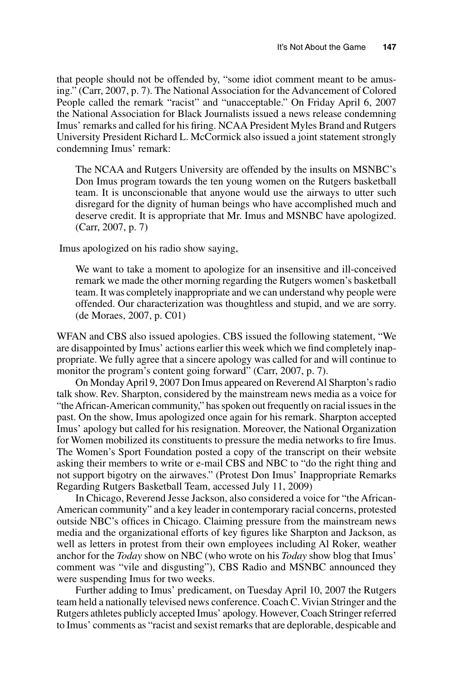that people should not be offended by, "some idiot comment meant to be amusing." (Carr, 2007, p. 7). The National Association for the Advancement of Colored People called the remark "racist" and "unacceptable." On Friday April 6, 2007 the National Association for Black Journalists issued a news release condemning Imus' remarks and called for his firing. NCAA President Myles Brand and Rutgers University President Richard L. McCormick also issued a joint statement strongly condemning Imus' remark:

The NCAA and Rutgers University are offended by the insults on MSNBC's Don Imus program towards the ten young women on the Rutgers basketball team. It is unconscionable that anyone would use the airways to utter such disregard for the dignity of human beings who have accomplished much and deserve credit. It is appropriate that Mr. Imus and MSNBC have apologized. (Carr, 2007, p. 7)

Imus apologized on his radio show saying,

We want to take a moment to apologize for an insensitive and ill-conceived remark we made the other morning regarding the Rutgers women's basketball team. It was completely inappropriate and we can understand why people were offended. Our characterization was thoughtless and stupid, and we are sorry. (de Moraes, 2007, p. C01)

WFAN and CBS also issued apologies. CBS issued the following statement, "We are disappointed by Imus' actions earlier this week which we find completely inappropriate. We fully agree that a sincere apology was called for and will continue to monitor the program's content going forward" (Carr, 2007, p. 7).

On Monday April 9, 2007 Don Imus appeared on Reverend Al Sharpton's radio talk show. Rev. Sharpton, considered by the mainstream news media as a voice for "the African-American community," has spoken out frequently on racial issues in the past. On the show, Imus apologized once again for his remark. Sharpton accepted Imus' apology but called for his resignation. Moreover, the National Organization for Women mobilized its constituents to pressure the media networks to fire Imus. The Women's Sport Foundation posted a copy of the transcript on their website asking their members to write or e-mail CBS and NBC to "do the right thing and not support bigotry on the airwaves." (Protest Don Imus' Inappropriate Remarks Regarding Rutgers Basketball Team, accessed July 11, 2009)

In Chicago, Reverend Jesse Jackson, also considered a voice for "the African-American community" and a key leader in contemporary racial concerns, protested outside NBC's offices in Chicago. Claiming pressure from the mainstream news media and the organizational efforts of key figures like Sharpton and Jackson, as well as letters in protest from their own employees including Al Roker, weather anchor for the *Today* show on NBC (who wrote on his *Today* show blog that Imus' comment was "vile and disgusting"), CBS Radio and MSNBC announced they were suspending Imus for two weeks.

Further adding to Imus' predicament, on Tuesday April 10, 2007 the Rutgers team held a nationally televised news conference. Coach C. Vivian Stringer and the Rutgers athletes publicly accepted Imus' apology. However, Coach Stringer referred to Imus' comments as "racist and sexist remarks that are deplorable, despicable and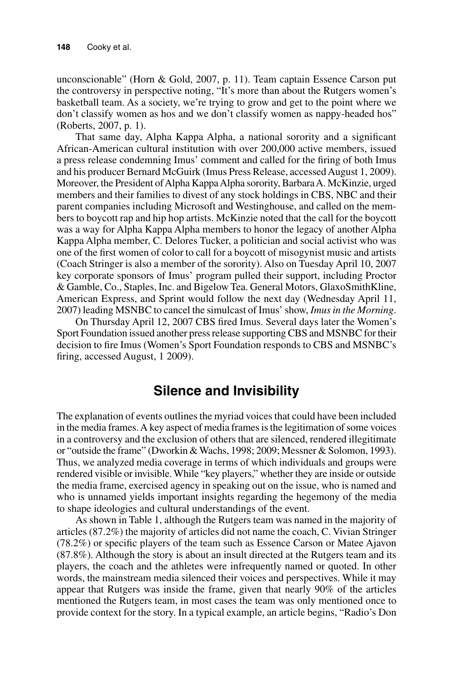unconscionable" (Horn & Gold, 2007, p. 11). Team captain Essence Carson put the controversy in perspective noting, "It's more than about the Rutgers women's basketball team. As a society, we're trying to grow and get to the point where we don't classify women as hos and we don't classify women as nappy-headed hos" (Roberts, 2007, p. 1).

That same day, Alpha Kappa Alpha, a national sorority and a significant African-American cultural institution with over 200,000 active members, issued a press release condemning Imus' comment and called for the firing of both Imus and his producer Bernard McGuirk (Imus Press Release, accessed August 1, 2009). Moreover, the President of Alpha Kappa Alpha sorority, Barbara A. McKinzie, urged members and their families to divest of any stock holdings in CBS, NBC and their parent companies including Microsoft and Westinghouse, and called on the members to boycott rap and hip hop artists. McKinzie noted that the call for the boycott was a way for Alpha Kappa Alpha members to honor the legacy of another Alpha Kappa Alpha member, C. Delores Tucker, a politician and social activist who was one of the first women of color to call for a boycott of misogynist music and artists (Coach Stringer is also a member of the sorority). Also on Tuesday April 10, 2007 key corporate sponsors of Imus' program pulled their support, including Proctor & Gamble, Co., Staples, Inc. and Bigelow Tea. General Motors, GlaxoSmithKline, American Express, and Sprint would follow the next day (Wednesday April 11, 2007) leading MSNBC to cancel the simulcast of Imus' show, *Imus in the Morning*.

On Thursday April 12, 2007 CBS fired Imus. Several days later the Women's Sport Foundation issued another press release supporting CBS and MSNBC for their decision to fire Imus (Women's Sport Foundation responds to CBS and MSNBC's firing, accessed August, 1 2009).

### **Silence and Invisibility**

The explanation of events outlines the myriad voices that could have been included in the media frames. A key aspect of media frames is the legitimation of some voices in a controversy and the exclusion of others that are silenced, rendered illegitimate or "outside the frame" (Dworkin & Wachs, 1998; 2009; Messner & Solomon, 1993). Thus, we analyzed media coverage in terms of which individuals and groups were rendered visible or invisible. While "key players," whether they are inside or outside the media frame, exercised agency in speaking out on the issue, who is named and who is unnamed yields important insights regarding the hegemony of the media to shape ideologies and cultural understandings of the event.

As shown in Table 1, although the Rutgers team was named in the majority of articles (87.2%) the majority of articles did not name the coach, C. Vivian Stringer (78.2%) or specific players of the team such as Essence Carson or Matee Ajavon (87.8%). Although the story is about an insult directed at the Rutgers team and its players, the coach and the athletes were infrequently named or quoted. In other words, the mainstream media silenced their voices and perspectives. While it may appear that Rutgers was inside the frame, given that nearly 90% of the articles mentioned the Rutgers team, in most cases the team was only mentioned once to provide context for the story. In a typical example, an article begins, "Radio's Don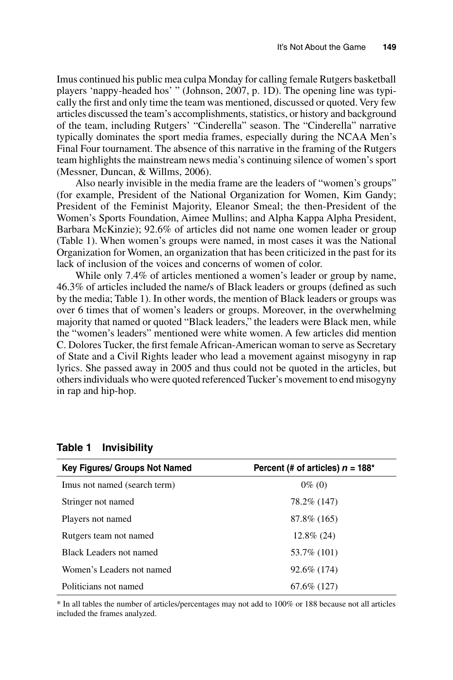Imus continued his public mea culpa Monday for calling female Rutgers basketball players 'nappy-headed hos' " (Johnson, 2007, p. 1D). The opening line was typically the first and only time the team was mentioned, discussed or quoted. Very few articles discussed the team's accomplishments, statistics, or history and background of the team, including Rutgers' "Cinderella" season. The "Cinderella" narrative typically dominates the sport media frames, especially during the NCAA Men's Final Four tournament. The absence of this narrative in the framing of the Rutgers team highlights the mainstream news media's continuing silence of women's sport (Messner, Duncan, & Willms, 2006).

Also nearly invisible in the media frame are the leaders of "women's groups" (for example, President of the National Organization for Women, Kim Gandy; President of the Feminist Majority, Eleanor Smeal; the then-President of the Women's Sports Foundation, Aimee Mullins; and Alpha Kappa Alpha President, Barbara McKinzie); 92.6% of articles did not name one women leader or group (Table 1). When women's groups were named, in most cases it was the National Organization for Women, an organization that has been criticized in the past for its lack of inclusion of the voices and concerns of women of color.

While only 7.4% of articles mentioned a women's leader or group by name, 46.3% of articles included the name/s of Black leaders or groups (defined as such by the media; Table 1). In other words, the mention of Black leaders or groups was over 6 times that of women's leaders or groups. Moreover, in the overwhelming majority that named or quoted "Black leaders," the leaders were Black men, while the "women's leaders" mentioned were white women. A few articles did mention C. Dolores Tucker, the first female African-American woman to serve as Secretary of State and a Civil Rights leader who lead a movement against misogyny in rap lyrics. She passed away in 2005 and thus could not be quoted in the articles, but others individuals who were quoted referenced Tucker's movement to end misogyny in rap and hip-hop.

| Key Figures/ Groups Not Named | Percent (# of articles) $n = 188^*$ |
|-------------------------------|-------------------------------------|
| Imus not named (search term)  | $0\%$ (0)                           |
| Stringer not named            | 78.2\% (147)                        |
| Players not named             | $87.8\%$ (165)                      |
| Rutgers team not named        | $12.8\%$ (24)                       |
| Black Leaders not named       | 53.7\% (101)                        |
| Women's Leaders not named     | 92.6% (174)                         |
| Politicians not named         | 67.6% (127)                         |

#### **Table 1 Invisibility**

\* In all tables the number of articles/percentages may not add to 100% or 188 because not all articles included the frames analyzed.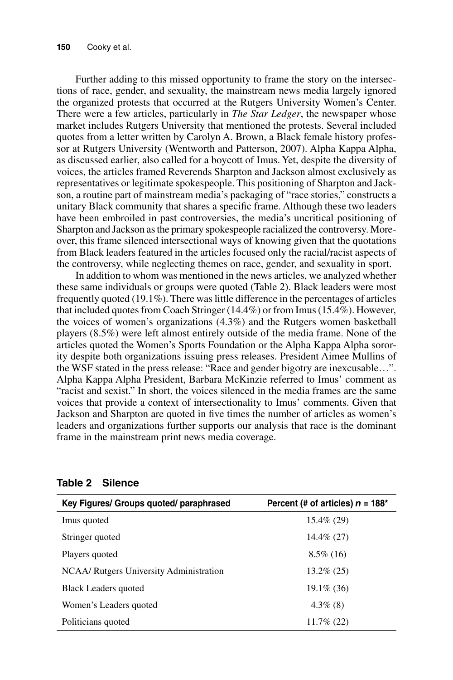Further adding to this missed opportunity to frame the story on the intersections of race, gender, and sexuality, the mainstream news media largely ignored the organized protests that occurred at the Rutgers University Women's Center. There were a few articles, particularly in *The Star Ledger*, the newspaper whose market includes Rutgers University that mentioned the protests. Several included quotes from a letter written by Carolyn A. Brown, a Black female history professor at Rutgers University (Wentworth and Patterson, 2007). Alpha Kappa Alpha, as discussed earlier, also called for a boycott of Imus. Yet, despite the diversity of voices, the articles framed Reverends Sharpton and Jackson almost exclusively as representatives or legitimate spokespeople. This positioning of Sharpton and Jackson, a routine part of mainstream media's packaging of "race stories," constructs a unitary Black community that shares a specific frame. Although these two leaders have been embroiled in past controversies, the media's uncritical positioning of Sharpton and Jackson as the primary spokespeople racialized the controversy. Moreover, this frame silenced intersectional ways of knowing given that the quotations from Black leaders featured in the articles focused only the racial/racist aspects of the controversy, while neglecting themes on race, gender, and sexuality in sport.

In addition to whom was mentioned in the news articles, we analyzed whether these same individuals or groups were quoted (Table 2). Black leaders were most frequently quoted (19.1%). There was little difference in the percentages of articles that included quotes from Coach Stringer (14.4%) or from Imus (15.4%). However, the voices of women's organizations (4.3%) and the Rutgers women basketball players (8.5%) were left almost entirely outside of the media frame. None of the articles quoted the Women's Sports Foundation or the Alpha Kappa Alpha sorority despite both organizations issuing press releases. President Aimee Mullins of the WSF stated in the press release: "Race and gender bigotry are inexcusable…". Alpha Kappa Alpha President, Barbara McKinzie referred to Imus' comment as "racist and sexist." In short, the voices silenced in the media frames are the same voices that provide a context of intersectionality to Imus' comments. Given that Jackson and Sharpton are quoted in five times the number of articles as women's leaders and organizations further supports our analysis that race is the dominant frame in the mainstream print news media coverage.

| Key Figures/ Groups quoted/ paraphrased | Percent (# of articles) $n = 188^*$ |
|-----------------------------------------|-------------------------------------|
| Imus quoted                             | $15.4\%$ (29)                       |
| Stringer quoted                         | $14.4\%$ (27)                       |
| Players quoted                          | $8.5\%$ (16)                        |
| NCAA/ Rutgers University Administration | $13.2\%$ (25)                       |
| <b>Black Leaders quoted</b>             | $19.1\%$ (36)                       |
| Women's Leaders quoted                  | $4.3\%$ (8)                         |
| Politicians quoted                      | $11.7\%$ (22)                       |
|                                         |                                     |

#### **Table 2 Silence**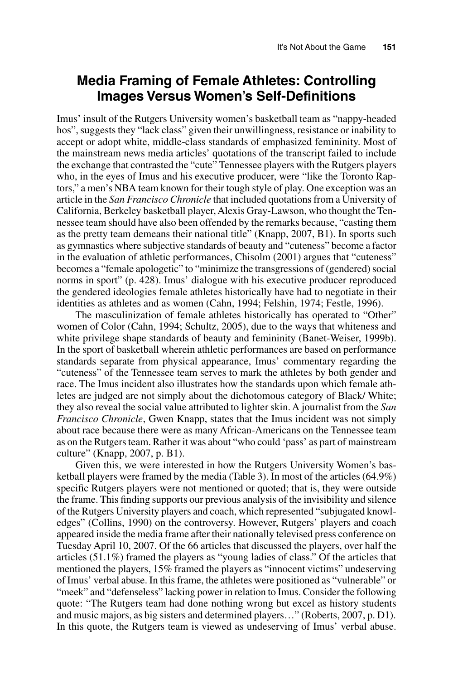## **Media Framing of Female Athletes: Controlling Images Versus Women's Self-Definitions**

Imus' insult of the Rutgers University women's basketball team as "nappy-headed hos", suggests they "lack class" given their unwillingness, resistance or inability to accept or adopt white, middle-class standards of emphasized femininity. Most of the mainstream news media articles' quotations of the transcript failed to include the exchange that contrasted the "cute" Tennessee players with the Rutgers players who, in the eyes of Imus and his executive producer, were "like the Toronto Raptors," a men's NBA team known for their tough style of play. One exception was an article in the *San Francisco Chronicle* that included quotations from a University of California, Berkeley basketball player, Alexis Gray-Lawson, who thought the Tennessee team should have also been offended by the remarks because, "casting them as the pretty team demeans their national title" (Knapp, 2007, B1). In sports such as gymnastics where subjective standards of beauty and "cuteness" become a factor in the evaluation of athletic performances, Chisolm (2001) argues that "cuteness" becomes a "female apologetic" to "minimize the transgressions of (gendered) social norms in sport" (p. 428). Imus' dialogue with his executive producer reproduced the gendered ideologies female athletes historically have had to negotiate in their identities as athletes and as women (Cahn, 1994; Felshin, 1974; Festle, 1996).

The masculinization of female athletes historically has operated to "Other" women of Color (Cahn, 1994; Schultz, 2005), due to the ways that whiteness and white privilege shape standards of beauty and femininity (Banet-Weiser, 1999b). In the sport of basketball wherein athletic performances are based on performance standards separate from physical appearance, Imus' commentary regarding the "cuteness" of the Tennessee team serves to mark the athletes by both gender and race. The Imus incident also illustrates how the standards upon which female athletes are judged are not simply about the dichotomous category of Black/ White; they also reveal the social value attributed to lighter skin. A journalist from the *San Francisco Chronicle*, Gwen Knapp, states that the Imus incident was not simply about race because there were as many African-Americans on the Tennessee team as on the Rutgers team. Rather it was about "who could 'pass' as part of mainstream culture" (Knapp, 2007, p. B1).

Given this, we were interested in how the Rutgers University Women's basketball players were framed by the media (Table 3). In most of the articles (64.9%) specific Rutgers players were not mentioned or quoted; that is, they were outside the frame. This finding supports our previous analysis of the invisibility and silence of the Rutgers University players and coach, which represented "subjugated knowledges" (Collins, 1990) on the controversy. However, Rutgers' players and coach appeared inside the media frame after their nationally televised press conference on Tuesday April 10, 2007. Of the 66 articles that discussed the players, over half the articles (51.1%) framed the players as "young ladies of class." Of the articles that mentioned the players, 15% framed the players as "innocent victims" undeserving of Imus' verbal abuse. In this frame, the athletes were positioned as "vulnerable" or "meek" and "defenseless" lacking power in relation to Imus. Consider the following quote: "The Rutgers team had done nothing wrong but excel as history students and music majors, as big sisters and determined players…" (Roberts, 2007, p. D1). In this quote, the Rutgers team is viewed as undeserving of Imus' verbal abuse.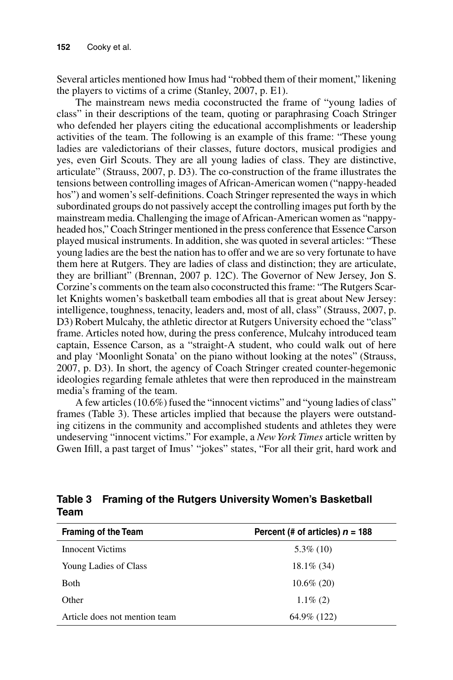Several articles mentioned how Imus had "robbed them of their moment," likening the players to victims of a crime (Stanley, 2007, p. E1).

The mainstream news media coconstructed the frame of "young ladies of class" in their descriptions of the team, quoting or paraphrasing Coach Stringer who defended her players citing the educational accomplishments or leadership activities of the team. The following is an example of this frame: "These young ladies are valedictorians of their classes, future doctors, musical prodigies and yes, even Girl Scouts. They are all young ladies of class. They are distinctive, articulate" (Strauss, 2007, p. D3). The co-construction of the frame illustrates the tensions between controlling images of African-American women ("nappy-headed hos") and women's self-definitions. Coach Stringer represented the ways in which subordinated groups do not passively accept the controlling images put forth by the mainstream media. Challenging the image of African-American women as "nappyheaded hos," Coach Stringer mentioned in the press conference that Essence Carson played musical instruments. In addition, she was quoted in several articles: "These young ladies are the best the nation has to offer and we are so very fortunate to have them here at Rutgers. They are ladies of class and distinction; they are articulate, they are brilliant" (Brennan, 2007 p. 12C). The Governor of New Jersey, Jon S. Corzine's comments on the team also coconstructed this frame: "The Rutgers Scarlet Knights women's basketball team embodies all that is great about New Jersey: intelligence, toughness, tenacity, leaders and, most of all, class" (Strauss, 2007, p. D3) Robert Mulcahy, the athletic director at Rutgers University echoed the "class" frame. Articles noted how, during the press conference, Mulcahy introduced team captain, Essence Carson, as a "straight-A student, who could walk out of here and play 'Moonlight Sonata' on the piano without looking at the notes" (Strauss, 2007, p. D3). In short, the agency of Coach Stringer created counter-hegemonic ideologies regarding female athletes that were then reproduced in the mainstream media's framing of the team.

A few articles (10.6%) fused the "innocent victims" and "young ladies of class" frames (Table 3). These articles implied that because the players were outstanding citizens in the community and accomplished students and athletes they were undeserving "innocent victims." For example, a *New York Times* article written by Gwen Ifill, a past target of Imus' "jokes" states, "For all their grit, hard work and

## **Table 3 Framing of the Rutgers University Women's Basketball Team**

| <b>Framing of the Team</b>    | Percent (# of articles) $n = 188$ |
|-------------------------------|-----------------------------------|
| <b>Innocent Victims</b>       | $5.3\%$ (10)                      |
| Young Ladies of Class         | $18.1\%$ (34)                     |
| <b>B</b> oth                  | $10.6\%$ (20)                     |
| Other                         | $1.1\%$ (2)                       |
| Article does not mention team | 64.9% (122)                       |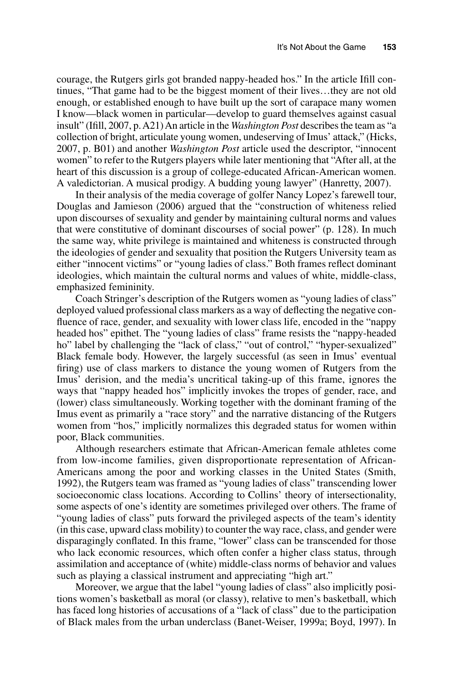courage, the Rutgers girls got branded nappy-headed hos." In the article Ifill continues, "That game had to be the biggest moment of their lives…they are not old enough, or established enough to have built up the sort of carapace many women I know—black women in particular—develop to guard themselves against casual insult" (Ifill, 2007, p. A21) An article in the *Washington Post* describes the team as "a collection of bright, articulate young women, undeserving of Imus' attack," (Hicks, 2007, p. B01) and another *Washington Post* article used the descriptor, "innocent women" to refer to the Rutgers players while later mentioning that "After all, at the heart of this discussion is a group of college-educated African-American women. A valedictorian. A musical prodigy. A budding young lawyer" (Hanretty, 2007).

In their analysis of the media coverage of golfer Nancy Lopez's farewell tour, Douglas and Jamieson (2006) argued that the "construction of whiteness relied upon discourses of sexuality and gender by maintaining cultural norms and values that were constitutive of dominant discourses of social power" (p. 128). In much the same way, white privilege is maintained and whiteness is constructed through the ideologies of gender and sexuality that position the Rutgers University team as either "innocent victims" or "young ladies of class." Both frames reflect dominant ideologies, which maintain the cultural norms and values of white, middle-class, emphasized femininity.

Coach Stringer's description of the Rutgers women as "young ladies of class" deployed valued professional class markers as a way of deflecting the negative confluence of race, gender, and sexuality with lower class life, encoded in the "nappy headed hos" epithet. The "young ladies of class" frame resists the "nappy-headed ho" label by challenging the "lack of class," "out of control," "hyper-sexualized" Black female body. However, the largely successful (as seen in Imus' eventual firing) use of class markers to distance the young women of Rutgers from the Imus' derision, and the media's uncritical taking-up of this frame, ignores the ways that "nappy headed hos" implicitly invokes the tropes of gender, race, and (lower) class simultaneously. Working together with the dominant framing of the Imus event as primarily a "race story" and the narrative distancing of the Rutgers women from "hos," implicitly normalizes this degraded status for women within poor, Black communities.

Although researchers estimate that African-American female athletes come from low-income families, given disproportionate representation of African-Americans among the poor and working classes in the United States (Smith, 1992), the Rutgers team was framed as "young ladies of class" transcending lower socioeconomic class locations. According to Collins' theory of intersectionality, some aspects of one's identity are sometimes privileged over others. The frame of "young ladies of class" puts forward the privileged aspects of the team's identity (in this case, upward class mobility) to counter the way race, class, and gender were disparagingly conflated. In this frame, "lower" class can be transcended for those who lack economic resources, which often confer a higher class status, through assimilation and acceptance of (white) middle-class norms of behavior and values such as playing a classical instrument and appreciating "high art."

Moreover, we argue that the label "young ladies of class" also implicitly positions women's basketball as moral (or classy), relative to men's basketball, which has faced long histories of accusations of a "lack of class" due to the participation of Black males from the urban underclass (Banet-Weiser, 1999a; Boyd, 1997). In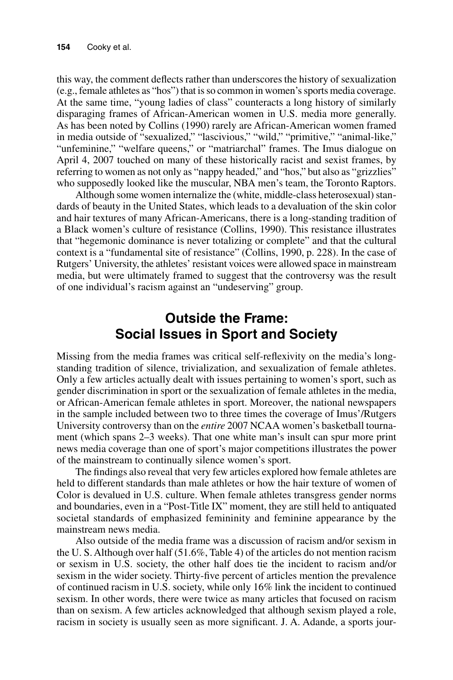this way, the comment deflects rather than underscores the history of sexualization (e.g., female athletes as "hos") that is so common in women's sports media coverage. At the same time, "young ladies of class" counteracts a long history of similarly disparaging frames of African-American women in U.S. media more generally. As has been noted by Collins (1990) rarely are African-American women framed in media outside of "sexualized," "lascivious," "wild," "primitive," "animal-like," "unfeminine," "welfare queens," or "matriarchal" frames. The Imus dialogue on April 4, 2007 touched on many of these historically racist and sexist frames, by referring to women as not only as "nappy headed," and "hos," but also as "grizzlies" who supposedly looked like the muscular, NBA men's team, the Toronto Raptors.

Although some women internalize the (white, middle-class heterosexual) standards of beauty in the United States, which leads to a devaluation of the skin color and hair textures of many African-Americans, there is a long-standing tradition of a Black women's culture of resistance (Collins, 1990). This resistance illustrates that "hegemonic dominance is never totalizing or complete" and that the cultural context is a "fundamental site of resistance" (Collins, 1990, p. 228). In the case of Rutgers' University, the athletes' resistant voices were allowed space in mainstream media, but were ultimately framed to suggest that the controversy was the result of one individual's racism against an "undeserving" group.

## **Outside the Frame: Social Issues in Sport and Society**

Missing from the media frames was critical self-reflexivity on the media's longstanding tradition of silence, trivialization, and sexualization of female athletes. Only a few articles actually dealt with issues pertaining to women's sport, such as gender discrimination in sport or the sexualization of female athletes in the media, or African-American female athletes in sport. Moreover, the national newspapers in the sample included between two to three times the coverage of Imus'/Rutgers University controversy than on the *entire* 2007 NCAA women's basketball tournament (which spans 2–3 weeks). That one white man's insult can spur more print news media coverage than one of sport's major competitions illustrates the power of the mainstream to continually silence women's sport.

The findings also reveal that very few articles explored how female athletes are held to different standards than male athletes or how the hair texture of women of Color is devalued in U.S. culture. When female athletes transgress gender norms and boundaries, even in a "Post-Title IX" moment, they are still held to antiquated societal standards of emphasized femininity and feminine appearance by the mainstream news media.

Also outside of the media frame was a discussion of racism and/or sexism in the U. S. Although over half (51.6%, Table 4) of the articles do not mention racism or sexism in U.S. society, the other half does tie the incident to racism and/or sexism in the wider society. Thirty-five percent of articles mention the prevalence of continued racism in U.S. society, while only 16% link the incident to continued sexism. In other words, there were twice as many articles that focused on racism than on sexism. A few articles acknowledged that although sexism played a role, racism in society is usually seen as more significant. J. A. Adande, a sports jour-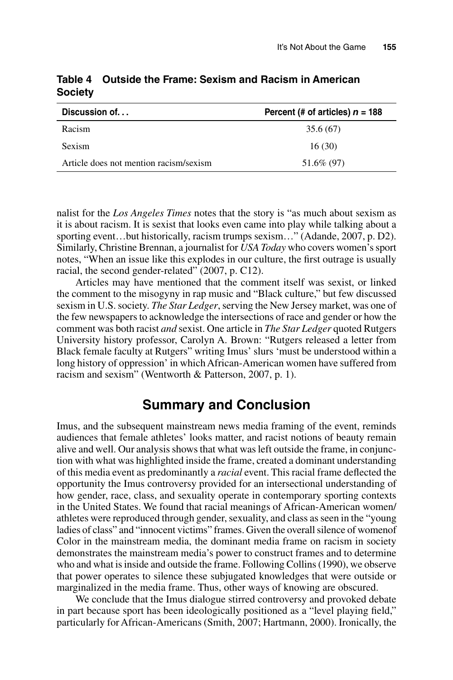| Discussion of                          | Percent (# of articles) $n = 188$ |
|----------------------------------------|-----------------------------------|
| Racism                                 | 35.6(67)                          |
| Sexism                                 | 16(30)                            |
| Article does not mention racism/sexism | 51.6\% (97)                       |

**Table 4 Outside the Frame: Sexism and Racism in American Society**

nalist for the *Los Angeles Times* notes that the story is "as much about sexism as it is about racism. It is sexist that looks even came into play while talking about a sporting event…but historically, racism trumps sexism…" (Adande, 2007, p. D2). Similarly, Christine Brennan, a journalist for *USA Today* who covers women's sport notes, "When an issue like this explodes in our culture, the first outrage is usually racial, the second gender-related" (2007, p. C12).

Articles may have mentioned that the comment itself was sexist, or linked the comment to the misogyny in rap music and "Black culture," but few discussed sexism in U.S. society. *The Star Ledger*, serving the New Jersey market, was one of the few newspapers to acknowledge the intersections of race and gender or how the comment was both racist *and* sexist. One article in *The Star Ledger* quoted Rutgers University history professor, Carolyn A. Brown: "Rutgers released a letter from Black female faculty at Rutgers" writing Imus' slurs 'must be understood within a long history of oppression' in which African-American women have suffered from racism and sexism" (Wentworth & Patterson, 2007, p. 1).

### **Summary and Conclusion**

Imus, and the subsequent mainstream news media framing of the event, reminds audiences that female athletes' looks matter, and racist notions of beauty remain alive and well. Our analysis shows that what was left outside the frame, in conjunction with what was highlighted inside the frame, created a dominant understanding of this media event as predominantly a *racial* event. This racial frame deflected the opportunity the Imus controversy provided for an intersectional understanding of how gender, race, class, and sexuality operate in contemporary sporting contexts in the United States. We found that racial meanings of African-American women/ athletes were reproduced through gender, sexuality, and class as seen in the "young ladies of class" and "innocent victims" frames. Given the overall silence of womenof Color in the mainstream media, the dominant media frame on racism in society demonstrates the mainstream media's power to construct frames and to determine who and what is inside and outside the frame. Following Collins (1990), we observe that power operates to silence these subjugated knowledges that were outside or marginalized in the media frame. Thus, other ways of knowing are obscured.

We conclude that the Imus dialogue stirred controversy and provoked debate in part because sport has been ideologically positioned as a "level playing field," particularly for African-Americans (Smith, 2007; Hartmann, 2000). Ironically, the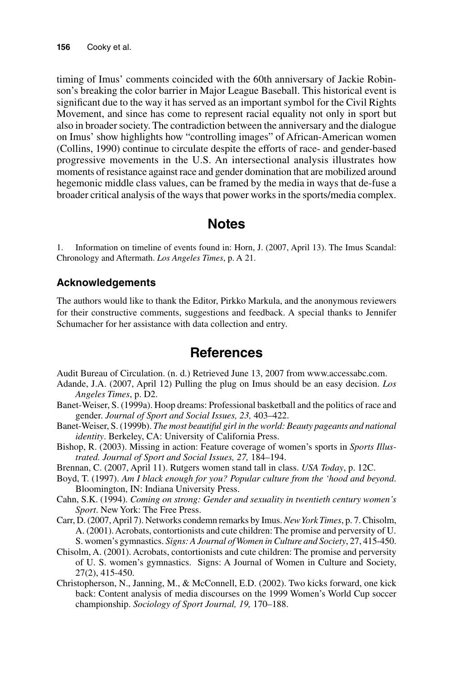timing of Imus' comments coincided with the 60th anniversary of Jackie Robinson's breaking the color barrier in Major League Baseball. This historical event is significant due to the way it has served as an important symbol for the Civil Rights Movement, and since has come to represent racial equality not only in sport but also in broader society. The contradiction between the anniversary and the dialogue on Imus' show highlights how "controlling images" of African-American women (Collins, 1990) continue to circulate despite the efforts of race- and gender-based progressive movements in the U.S. An intersectional analysis illustrates how moments of resistance against race and gender domination that are mobilized around hegemonic middle class values, can be framed by the media in ways that de-fuse a broader critical analysis of the ways that power works in the sports/media complex.

## **Notes**

1. Information on timeline of events found in: Horn, J. (2007, April 13). The Imus Scandal: Chronology and Aftermath. *Los Angeles Times*, p. A 21.

### **Acknowledgements**

The authors would like to thank the Editor, Pirkko Markula, and the anonymous reviewers for their constructive comments, suggestions and feedback. A special thanks to Jennifer Schumacher for her assistance with data collection and entry.

## **References**

Audit Bureau of Circulation. (n. d.) Retrieved June 13, 2007 from www.accessabc.com.

- Adande, J.A. (2007, April 12) Pulling the plug on Imus should be an easy decision. *Los Angeles Times*, p. D2.
- Banet-Weiser, S. (1999a). Hoop dreams: Professional basketball and the politics of race and gender. *Journal of Sport and Social Issues, 23,* 403–422.
- Banet-Weiser, S. (1999b). *The most beautiful girl in the world: Beauty pageants and national identity*. Berkeley, CA: University of California Press.
- Bishop, R. (2003). Missing in action: Feature coverage of women's sports in *Sports Illustrated. Journal of Sport and Social Issues, 27,* 184–194.
- Brennan, C. (2007, April 11). Rutgers women stand tall in class. *USA Today*, p. 12C.
- Boyd, T. (1997). *Am I black enough for you? Popular culture from the 'hood and beyond*. Bloomington, IN: Indiana University Press.
- Cahn, S.K. (1994). *Coming on strong: Gender and sexuality in twentieth century women's Sport*. New York: The Free Press.
- Carr, D. (2007, April 7). Networks condemn remarks by Imus. *New York Times*, p. 7. Chisolm, A. (2001). Acrobats, contortionists and cute children: The promise and perversity of U. S. women's gymnastics. *Signs: A Journal of Women in Culture and Society*, 27, 415-450.
- Chisolm, A. (2001). Acrobats, contortionists and cute children: The promise and perversity of U. S. women's gymnastics. Signs: A Journal of Women in Culture and Society, 27(2), 415-450.
- Christopherson, N., Janning, M., & McConnell, E.D. (2002). Two kicks forward, one kick back: Content analysis of media discourses on the 1999 Women's World Cup soccer championship. *Sociology of Sport Journal, 19,* 170–188.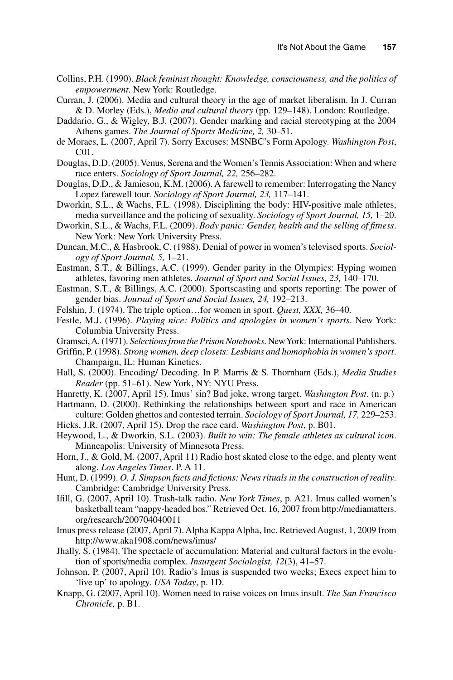- Collins, P.H. (1990). *Black feminist thought: Knowledge, consciousness, and the politics of empowerment*. New York: Routledge.
- Curran, J. (2006). Media and cultural theory in the age of market liberalism. In J. Curran & D. Morley (Eds.), *Media and cultural theory* (pp. 129–148). London: Routledge.
- Daddario, G., & Wigley, B.J. (2007). Gender marking and racial stereotyping at the 2004 Athens games. *The Journal of Sports Medicine, 2,* 30–51.
- de Moraes, L. (2007, April 7). Sorry Excuses: MSNBC's Form Apology. *Washington Post*, C01.
- Douglas, D.D. (2005). Venus, Serena and the Women's Tennis Association: When and where race enters. *Sociology of Sport Journal, 22,* 256–282.
- Douglas, D.D., & Jamieson, K.M. (2006). A farewell to remember: Interrogating the Nancy Lopez farewell tour. *Sociology of Sport Journal, 23,* 117–141.
- Dworkin, S.L., & Wachs, F.L. (1998). Disciplining the body: HIV-positive male athletes, media surveillance and the policing of sexuality. *Sociology of Sport Journal, 15,* 1–20.
- Dworkin, S.L., & Wachs, F.L. (2009). *Body panic: Gender, health and the selling of fitness*. New York: New York University Press.
- Duncan, M.C., & Hasbrook, C. (1988). Denial of power in women's televised sports. *Sociology of Sport Journal, 5,* 1–21.
- Eastman, S.T., & Billings, A.C. (1999). Gender parity in the Olympics: Hyping women athletes, favoring men athletes. *Journal of Sport and Social Issues, 23,* 140–170.
- Eastman, S.T., & Billings, A.C. (2000). Sportscasting and sports reporting: The power of gender bias. *Journal of Sport and Social Issues, 24,* 192–213.
- Felshin, J. (1974). The triple option…for women in sport. *Quest, XXX,* 36–40.
- Festle, M.J. (1996). *Playing nice: Politics and apologies in women's sports*. New York: Columbia University Press.
- Gramsci, A. (1971). *Selections from the Prison Notebooks*. New York: International Publishers.
- Griffin, P. (1998). *Strong women, deep closets: Lesbians and homophobia in women's sport*. Champaign, IL: Human Kinetics.
- Hall, S. (2000). Encoding/ Decoding. In P. Marris & S. Thornham (Eds.), *Media Studies Reader* (pp. 51–61). New York, NY: NYU Press.
- Hanretty, K. (2007, April 15). Imus' sin? Bad joke, wrong target. *Washington Post*. (n. p.)
- Hartmann, D. (2000). Rethinking the relationships between sport and race in American culture: Golden ghettos and contested terrain. *Sociology of Sport Journal, 17,* 229–253.
- Hicks, J.R. (2007, April 15). Drop the race card. *Washington Post*, p. B01.
- Heywood, L., & Dworkin, S.L. (2003). *Built to win: The female athletes as cultural icon*. Minneapolis: University of Minnesota Press.
- Horn, J., & Gold, M. (2007, April 11) Radio host skated close to the edge, and plenty went along. *Los Angeles Times*. P. A 11.
- Hunt, D. (1999). *O. J. Simpson facts and fictions: News rituals in the construction of reality*. Cambridge: Cambridge University Press.
- Ifill, G. (2007, April 10). Trash-talk radio. *New York Times*, p. A21. Imus called women's basketball team "nappy-headed hos." Retrieved Oct. 16, 2007 from http://mediamatters. org/research/200704040011
- Imus press release (2007, April 7). Alpha Kappa Alpha, Inc. Retrieved August, 1, 2009 from http://www.aka1908.com/news/imus/
- Jhally, S. (1984). The spectacle of accumulation: Material and cultural factors in the evolution of sports/media complex. *Insurgent Sociologist, 12*(3), 41–57.
- Johnson, P. (2007, April 10). Radio's Imus is suspended two weeks; Execs expect him to 'live up' to apology. *USA Today*, p. 1D.
- Knapp, G. (2007, April 10). Women need to raise voices on Imus insult. *The San Francisco Chronicle,* p. B1.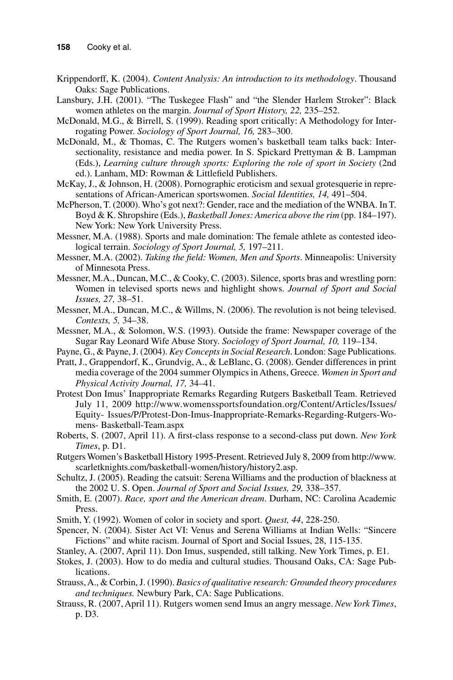- Krippendorff, K. (2004). *Content Analysis: An introduction to its methodology*. Thousand Oaks: Sage Publications.
- Lansbury, J.H. (2001). "The Tuskegee Flash" and "the Slender Harlem Stroker": Black women athletes on the margin. *Journal of Sport History, 22,* 235–252.
- McDonald, M.G., & Birrell, S. (1999). Reading sport critically: A Methodology for Interrogating Power. *Sociology of Sport Journal, 16,* 283–300.
- McDonald, M., & Thomas, C. The Rutgers women's basketball team talks back: Intersectionality, resistance and media power. In S. Spickard Prettyman & B. Lampman (Eds.), *Learning culture through sports: Exploring the role of sport in Society* (2nd ed.). Lanham, MD: Rowman & Littlefield Publishers.
- McKay, J., & Johnson, H. (2008). Pornographic eroticism and sexual grotesquerie in representations of African-American sportswomen. *Social Identities, 14,* 491–504.
- McPherson, T. (2000). Who's got next?: Gender, race and the mediation of the WNBA. In T. Boyd & K. Shropshire (Eds.), *Basketball Jones: America above the rim* (pp. 184–197). New York: New York University Press.
- Messner, M.A. (1988). Sports and male domination: The female athlete as contested ideological terrain. *Sociology of Sport Journal, 5,* 197–211.
- Messner, M.A. (2002). *Taking the field: Women, Men and Sports*. Minneapolis: University of Minnesota Press.
- Messner, M.A., Duncan, M.C., & Cooky, C. (2003). Silence, sports bras and wrestling porn: Women in televised sports news and highlight shows. *Journal of Sport and Social Issues, 27,* 38–51.
- Messner, M.A., Duncan, M.C., & Willms, N. (2006). The revolution is not being televised. *Contexts, 5,* 34–38.
- Messner, M.A., & Solomon, W.S. (1993). Outside the frame: Newspaper coverage of the Sugar Ray Leonard Wife Abuse Story. *Sociology of Sport Journal, 10,* 119–134.
- Payne, G., & Payne, J. (2004). *Key Concepts in Social Research*. London: Sage Publications.
- Pratt, J., Grappendorf, K., Grundvig, A., & LeBlanc, G. (2008). Gender differences in print media coverage of the 2004 summer Olympics in Athens, Greece. *Women in Sport and Physical Activity Journal, 17,* 34–41.
- Protest Don Imus' Inappropriate Remarks Regarding Rutgers Basketball Team. Retrieved July 11, 2009 http://www.womenssportsfoundation.org/Content/Articles/Issues/ Equity- Issues/P/Protest-Don-Imus-Inappropriate-Remarks-Regarding-Rutgers-Womens- Basketball-Team.aspx
- Roberts, S. (2007, April 11). A first-class response to a second-class put down. *New York Times*, p. D1.
- Rutgers Women's Basketball History 1995-Present. Retrieved July 8, 2009 from http://www. scarletknights.com/basketball-women/history/history2.asp.
- Schultz, J. (2005). Reading the catsuit: Serena Williams and the production of blackness at the 2002 U. S. Open. *Journal of Sport and Social Issues, 29,* 338–357.
- Smith, E. (2007). *Race, sport and the American dream*. Durham, NC: Carolina Academic Press.
- Smith, Y. (1992). Women of color in society and sport. *Quest, 44*, 228-250.
- Spencer, N. (2004). Sister Act VI: Venus and Serena Williams at Indian Wells: "Sincere Fictions" and white racism. Journal of Sport and Social Issues, 28, 115-135.
- Stanley, A. (2007, April 11). Don Imus, suspended, still talking. New York Times, p. E1.
- Stokes, J. (2003). How to do media and cultural studies. Thousand Oaks, CA: Sage Publications.
- Strauss, A., & Corbin, J. (1990). *Basics of qualitative research: Grounded theory procedures and techniques.* Newbury Park, CA: Sage Publications.
- Strauss, R. (2007, April 11). Rutgers women send Imus an angry message. *New York Times*, p. D3.